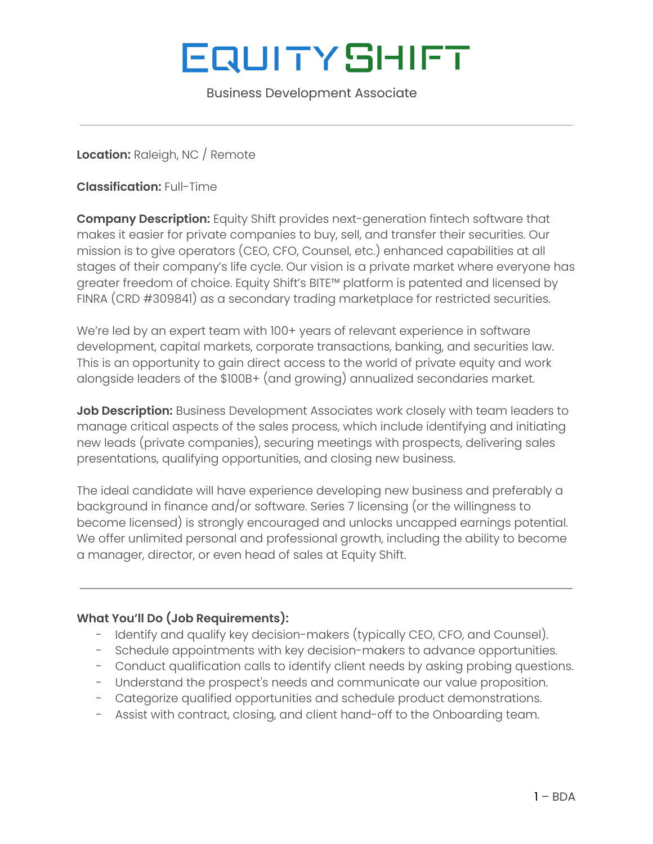# **EQUITYSHIFT**

Business Development Associate

**Location:** Raleigh, NC / Remote

**Classification:** Full-Time

**Company Description:** Equity Shift provides next-generation fintech software that makes it easier for private companies to buy, sell, and transfer their securities. Our mission is to give operators (CEO, CFO, Counsel, etc.) enhanced capabilities at all stages of their company's life cycle. Our vision is a private market where everyone has greater freedom of choice. Equity Shift's BITE™ platform is patented and licensed by FINRA (CRD #309841) as a secondary trading marketplace for restricted securities.

We're led by an expert team with 100+ years of relevant experience in software development, capital markets, corporate transactions, banking, and securities law. This is an opportunity to gain direct access to the world of private equity and work alongside leaders of the \$100B+ (and growing) annualized secondaries market.

**Job Description:** Business Development Associates work closely with team leaders to manage critical aspects of the sales process, which include identifying and initiating new leads (private companies), securing meetings with prospects, delivering sales presentations, qualifying opportunities, and closing new business.

The ideal candidate will have experience developing new business and preferably a background in finance and/or software. Series 7 licensing (or the willingness to become licensed) is strongly encouraged and unlocks uncapped earnings potential. We offer unlimited personal and professional growth, including the ability to become a manager, director, or even head of sales at Equity Shift.

### **What You'll Do (Job Requirements):**

- Identify and qualify key decision-makers (typically CEO, CFO, and Counsel).
- Schedule appointments with key decision-makers to advance opportunities.
- Conduct qualification calls to identify client needs by asking probing questions.
- Understand the prospect's needs and communicate our value proposition.
- Categorize qualified opportunities and schedule product demonstrations.
- Assist with contract, closing, and client hand-off to the Onboarding team.